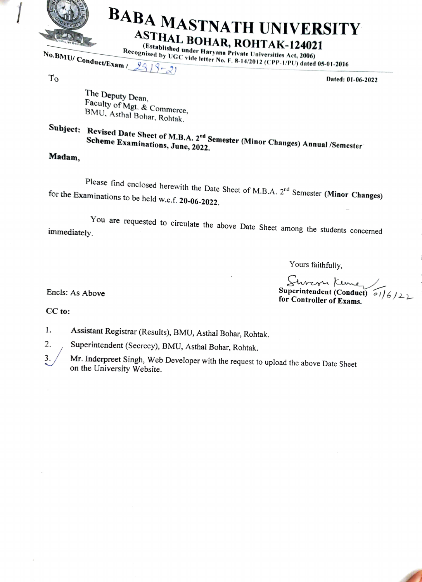

## BABA MASTNATH UNIVERSITY ASTHAL BOHAR, ROHTAK-124021<br>(Established under Haryana Private Universities Act, 2006)

Recognised by UGC vide letter No. F. 8-14/2012 (CPP-1/PU) dated 05-01-2016

 $T<sub>O</sub>$  Dated: 01-06-2022

The Deputy Dean,<br>Faculty of Mgt. & Commerce, BMU, Asthal Bohar, Rohtak.

Subject: Revised Date Sheet of M.B.A. 2<sup>nd</sup> Semester (Minor Changes) Annual /Semester Scheme Examinations. June. 2022

Madam,

Please find enclosed herewith the Date Sheet of M.B.A. 2<sup>nd</sup> Semester (Minor Changes) for the Examinations to be held w.e.f. 20-06-2022.

You are requested to circulate the above Date Sheet among the students concerned immediately.

Yours faithfully,

Superintendent (Conduct)  $\frac{1}{6}$ <br>for Controller of Exams.

Encls: As Above

CC to:

1. Assistant Registrar (Results), BMU, Asthal Bohar, Rohtak.

Superintendent (Secrecy), BMU, Asthal Bohar, Rohtak. 2.

Mr. Inderpreet Singh, Web Developer with the request to upload the above Date Sheet on the University Website. 3.